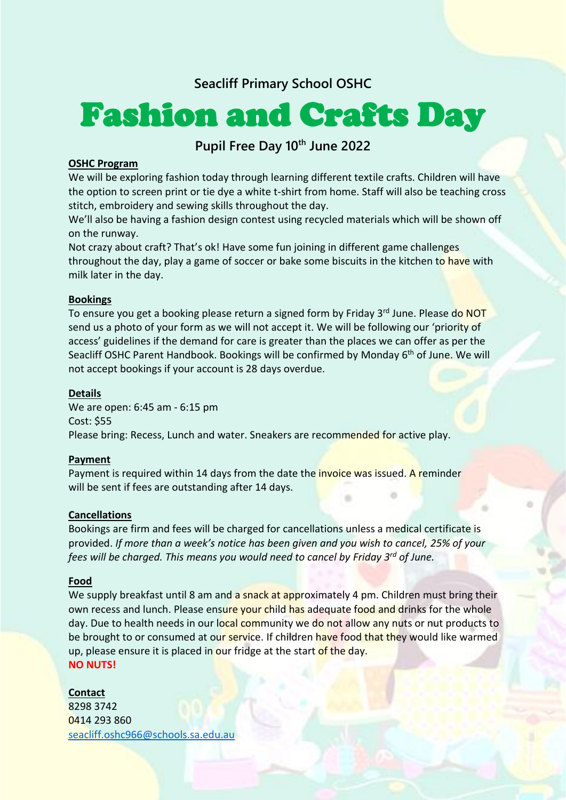## **Seacliff Primary School OSHC**

# Fashion and Crafts Day

## **Pupil Free Day 10th June 2022**

#### **OSHC Program**

We will be exploring fashion today through learning different textile crafts. Children will have the option to screen print or tie dye a white t-shirt from home. Staff will also be teaching cross stitch, embroidery and sewing skills throughout the day.

We'll also be having a fashion design contest using recycled materials which will be shown off on the runway.

Not crazy about craft? That's ok! Have some fun joining in different game challenges throughout the day, play a game of soccer or bake some biscuits in the kitchen to have with milk later in the day.

#### **Bookings**

To ensure you get a booking please return a signed form by Friday 3<sup>rd</sup> June. Please do NOT send us a photo of your form as we will not accept it. We will be following our 'priority of access' guidelines if the demand for care is greater than the places we can offer as per the Seacliff OSHC Parent Handbook. Bookings will be confirmed by Monday 6<sup>th</sup> of June. We will not accept bookings if your account is 28 days overdue.

#### **Details**

We are open: 6:45 am - 6:15 pm Cost: \$55 Please bring: Recess, Lunch and water. Sneakers are recommended for active play.

#### **Payment**

Payment is required within 14 days from the date the *invoice was issued. A reminder* will be sent if fees are outstanding after 14 days.

#### **Cancellations**

Bookings are firm and fees will be charged for cancellations unless a medical certificate is provided. *If more than a week's notice has been given and you wish to cancel, 25% of your fees will be charged. This means you would need to cancel by Friday 3rd of June.* 

#### **Food**

We supply breakfast until 8 am and a snack at approximately 4 pm. Children must bring their own recess and lunch. Please ensure your child has adequate food and drinks for the whole day. Due to health needs in our local community we do not allow any nuts or nut products to be brought to or consumed at our service. If children have food that they would like warmed up, please ensure it is placed in our fridge at the start of the day. **NO NUTS!**

#### **Contact**

8298 3742 0414 293 860 [seacliff.oshc966@schools.sa.edu.au](mailto:seacliff.oshc966@schools.sa.edu.au)